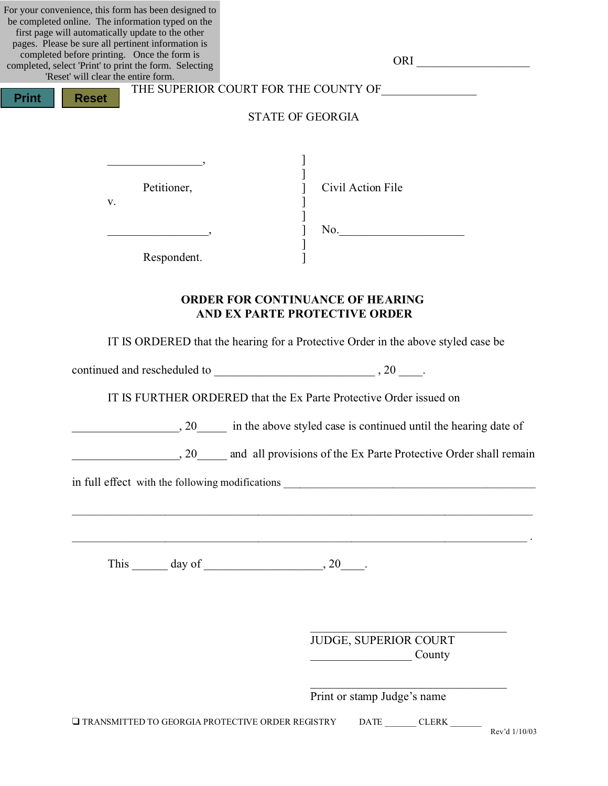| For your convenience, this form has been designed to   |                                      |
|--------------------------------------------------------|--------------------------------------|
| be completed online. The information typed on the      |                                      |
| first page will automatically update to the other      |                                      |
| pages. Please be sure all pertinent information is     |                                      |
| completed before printing. Once the form is            | <b>ORI</b>                           |
| completed, select 'Print' to print the form. Selecting |                                      |
| 'Reset' will clear the entire form.                    |                                      |
|                                                        | THE SUPERIOR COURT FOR THE COUNTY OF |
| <b>Print</b><br><b>Reset</b>                           |                                      |
|                                                        | <b>STATE OF GEORGIA</b>              |
|                                                        |                                      |
|                                                        |                                      |
|                                                        |                                      |
|                                                        |                                      |
|                                                        |                                      |
| - -                                                    |                                      |

Petitioner, and True Civil Action File

ORI  $\Box$ 

Respondent.

 $\mathbf{v}$ .

## **ORDER FOR CONTINUANCE OF HEARING AND EX PARTE PROTECTIVE ORDER**

]

]  $\qquad \qquad \text{No.}$ ]

IT IS ORDERED that the hearing for a Protective Order in the above styled case be

continued and rescheduled to \_\_\_\_\_\_\_\_\_\_\_\_\_\_\_\_\_\_\_\_\_\_\_\_\_\_\_ , 20 \_\_\_\_.

IT IS FURTHER ORDERED that the Ex Parte Protective Order issued on

\_\_\_\_\_\_\_\_\_\_\_\_\_\_\_\_\_\_, 20\_\_\_\_\_ in the above styled case is continued until the hearing date of

 $\mathcal{L}_\text{max} = \frac{1}{2} \sum_{i=1}^{n} \frac{1}{2} \sum_{i=1}^{n} \frac{1}{2} \sum_{i=1}^{n} \frac{1}{2} \sum_{i=1}^{n} \frac{1}{2} \sum_{i=1}^{n} \frac{1}{2} \sum_{i=1}^{n} \frac{1}{2} \sum_{i=1}^{n} \frac{1}{2} \sum_{i=1}^{n} \frac{1}{2} \sum_{i=1}^{n} \frac{1}{2} \sum_{i=1}^{n} \frac{1}{2} \sum_{i=1}^{n} \frac{1}{2} \sum_{i=1}^{n} \frac{1$ 

20 and all provisions of the Ex Parte Protective Order shall remain

in full effect with the following modifications

This  $\_\_\_\_\_\$  day of  $\_\_\_\_\_\_\_\$ 

JUDGE, SUPERIOR COURT  $County$ 

 $\mathcal{L}_\mathcal{L}$  , where  $\mathcal{L}_\mathcal{L}$  , we have the set of the set of the set of the set of the set of the set of the set of the set of the set of the set of the set of the set of the set of the set of the set of the set

 $\mathcal{L}_\mathcal{L} = \mathcal{L}_\mathcal{L} = \mathcal{L}_\mathcal{L} = \mathcal{L}_\mathcal{L} = \mathcal{L}_\mathcal{L} = \mathcal{L}_\mathcal{L} = \mathcal{L}_\mathcal{L} = \mathcal{L}_\mathcal{L} = \mathcal{L}_\mathcal{L} = \mathcal{L}_\mathcal{L} = \mathcal{L}_\mathcal{L} = \mathcal{L}_\mathcal{L} = \mathcal{L}_\mathcal{L} = \mathcal{L}_\mathcal{L} = \mathcal{L}_\mathcal{L} = \mathcal{L}_\mathcal{L} = \mathcal{L}_\mathcal{L}$ 

| Print or stamp Judge's name                                 |             |              |  |
|-------------------------------------------------------------|-------------|--------------|--|
| $\square$ transmitted to georgia protective order registry. | <b>DATE</b> | <b>CLERK</b> |  |